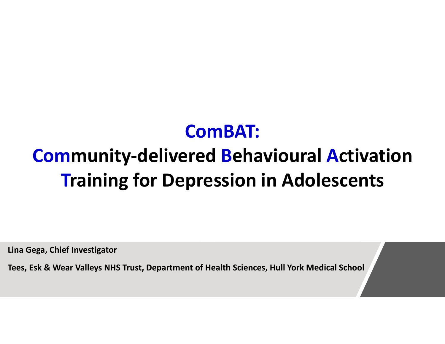# ComBAT: Community-delivered Behavioural Activation **Training for Depression in Adolescents Community-delivered Behavioural Activ**<br>Training for Depression in Adolescer<br>Lina Gega, Chief Investigator<br>Tees, Esk & Wear Valleys NHS Trust, Department of Health Sciences, Hull York Medical School

Lina Gega, Chief Investigator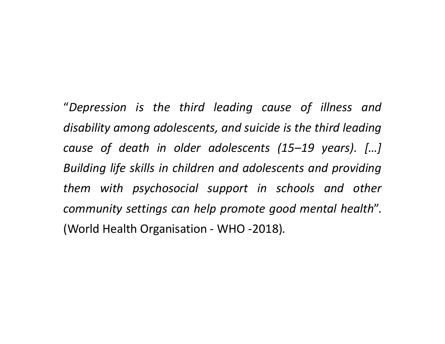"Depression is the third leading cause of illness and<br>disability among adolescents, and suicide is the third leading<br>cause of death in older adolescents (15–19 vears). [...] "Depression is the third leading cause of illness and<br>disability among adolescents, and suicide is the third leading<br>cause of death in older adolescents (15–19 years). [...]<br>Buildina life skills in children and adolescent "Depression is the third leading cause of illness and<br>disability-among-adolescents, and suicide is the third-leading<br>cause of death in older adolescents (15–19 years). […]<br>Building-life skills in children and adolescents a "Depression is the third leading cause of illness and<br>disability among adolescents, and suicide is the third leading<br>cause of death in older adolescents (15–19 years). [...]<br>Building life skills in children and adolescents "Depression is the third leading cause of illness and<br>disability among adolescents, and suicide is the third leading<br>cause of death in older adolescents (15–19 years). [...]<br>Building life skills in children and adolescents "Depression is the third leading cause of illness and<br>disability among adolescents, and suicide is the third leading<br>cause of death in older adolescents (15–19 years). [...]<br>Building life skills in children and adolescents "Depression is the third leading cause of illness and<br>disability-among-adolescents, and suicide is the third leading<br>cause of death in older adolescents (15–19 years). [...]<br>Building life skills in children and adolescents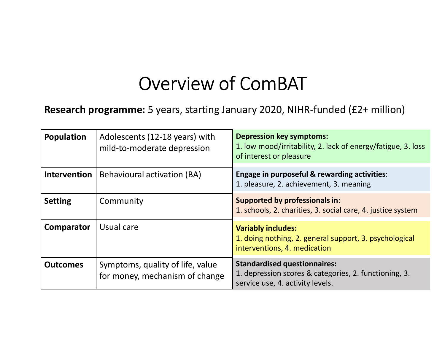### Overview of ComBAT

| Overview of ComBAT<br><b>Research programme:</b> 5 years, starting January 2020, NIHR-funded (£2+ million) |                                                                    |                                                                                                                                  |
|------------------------------------------------------------------------------------------------------------|--------------------------------------------------------------------|----------------------------------------------------------------------------------------------------------------------------------|
|                                                                                                            |                                                                    |                                                                                                                                  |
| <b>Intervention</b>                                                                                        | Behavioural activation (BA)                                        | Engage in purposeful & rewarding activities:<br>1. pleasure, 2. achievement, 3. meaning                                          |
| <b>Setting</b>                                                                                             | Community                                                          | <b>Supported by professionals in:</b><br>1. schools, 2. charities, 3. social care, 4. justice system                             |
| Comparator                                                                                                 | Usual care                                                         | <b>Variably includes:</b><br>1. doing nothing, 2. general support, 3. psychological<br>interventions, 4. medication              |
| <b>Outcomes</b>                                                                                            | Symptoms, quality of life, value<br>for money, mechanism of change | <b>Standardised questionnaires:</b><br>1. depression scores & categories, 2. functioning, 3.<br>service use, 4. activity levels. |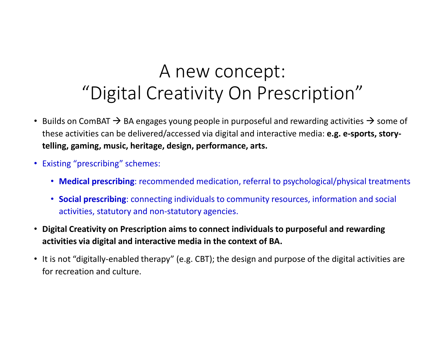#### A new concept: "Digital Creativity On Prescription"

- Builds on ComBAT  $\rightarrow$  BA engages young people in purposeful and rewarding activities  $\rightarrow$  some of these activities can be delivered/accessed via digital and interactive media: e.g. e-sports, storytelling, gaming, music, heritage, design, performance, arts.
- Existing "prescribing" schemes:
	- Medical prescribing: recommended medication, referral to psychological/physical treatments
	- Social prescribing: connecting individuals to community resources, information and social activities, statutory and non-statutory agencies.
- Digital Creativity on Prescription aims to connect individuals to purposeful and rewarding activities via digital and interactive media in the context of BA.
- It is not "digitally-enabled therapy" (e.g. CBT); the design and purpose of the digital activities are for recreation and culture.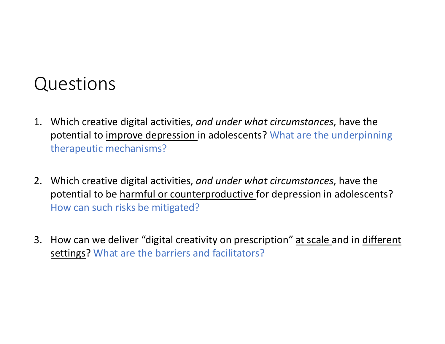#### Questions

- Questions<br>
1. Which creative digital activities, *and under what circumstances*, have the<br>
potential to <u>improve depression</u> in adolescents? What are the underpinning<br>
therapeutic mechanisms? potential to improve depression in adolescents? What are the underpinning therapeutic mechanisms?
- 2. Which creative digital activities, *and under what circumstances*, have the<br>potential to <u>improve depression</u> in adolescents? What are the underpinning<br>therapeutic mechanisms?<br>2. Which creative digital activities, *and* potential to be harmful or counterproductive for depression in adolescents? How can such risks be mitigated? 3. Which creative digital activities, and under what circumstances, have the potential to <u>improve depression</u> in adolescents? What are the underpinning therapeutic mechanisms?<br>2. Which creative digital activities, and und
- settings? What are the barriers and facilitators?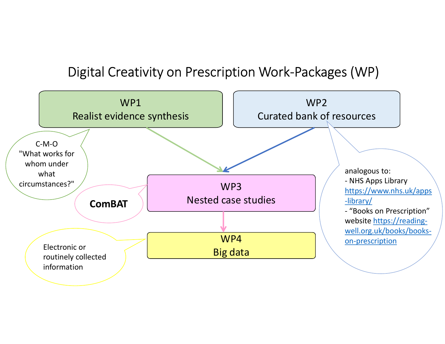#### Digital Creativity on Prescription Work-Packages (WP)